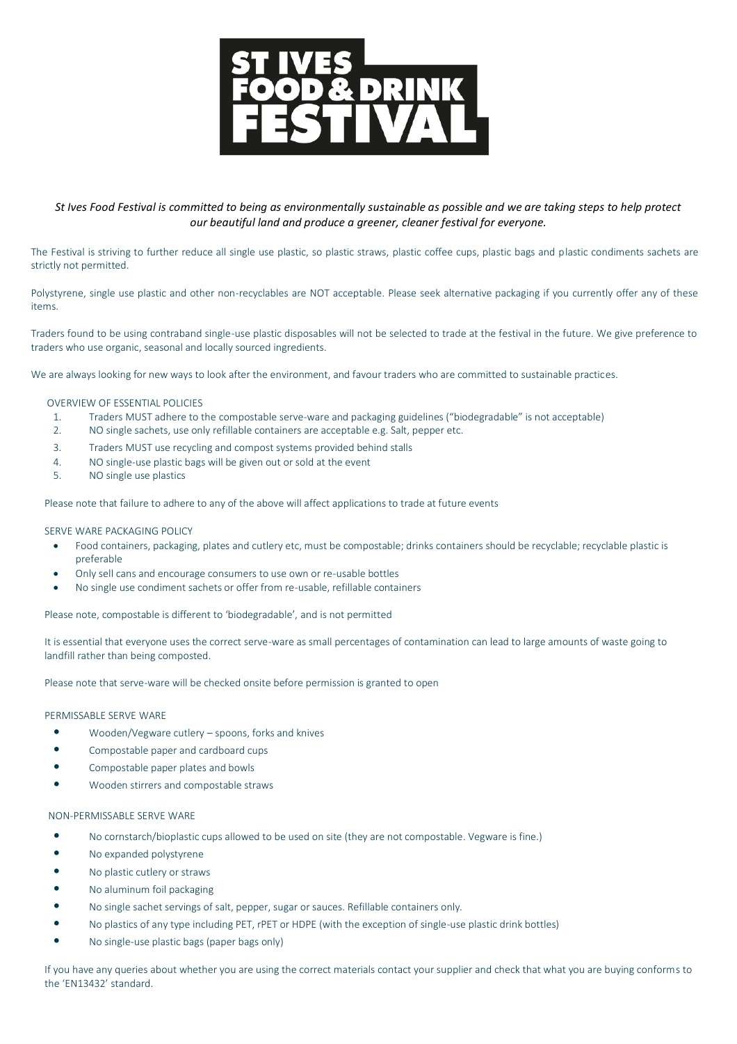

*St Ives Food Festival is committed to being as environmentally sustainable as possible and we are taking steps to help protect our beautiful land and produce a greener, cleaner festival for everyone.*

The Festival is striving to further reduce all single use plastic, so plastic straws, plastic coffee cups, plastic bags and plastic condiments sachets are strictly not permitted.

Polystyrene, single use plastic and other non-recyclables are NOT acceptable. Please seek alternative packaging if you currently offer any of these items.

Traders found to be using contraband single-use plastic disposables will not be selected to trade at the festival in the future. We give preference to traders who use organic, seasonal and locally sourced ingredients.

We are always looking for new ways to look after the environment, and favour traders who are committed to sustainable practices.

### OVERVIEW OF ESSENTIAL POLICIES

- 1. Traders MUST adhere to the compostable serve-ware and packaging guidelines ("biodegradable" is not acceptable)
- 2. NO single sachets, use only refillable containers are acceptable e.g. Salt, pepper etc.
- 3. Traders MUST use recycling and compost systems provided behind stalls
- 4. NO single-use plastic bags will be given out or sold at the event
- 5. NO single use plastics

Please note that failure to adhere to any of the above will affect applications to trade at future events

# SERVE WARE PACKAGING POLICY

- Food containers, packaging, plates and cutlery etc, must be compostable; drinks containers should be recyclable; recyclable plastic is preferable
- Only sell cans and encourage consumers to use own or re-usable bottles
- No single use condiment sachets or offer from re-usable, refillable containers

Please note, compostable is different to 'biodegradable', and is not permitted

It is essential that everyone uses the correct serve-ware as small percentages of contamination can lead to large amounts of waste going to landfill rather than being composted.

Please note that serve-ware will be checked onsite before permission is granted to open

#### PERMISSABLE SERVE WARE

- Wooden/Vegware cutlery spoons, forks and knives
- Compostable paper and cardboard cups
- Compostable paper plates and bowls
- Wooden stirrers and compostable straws

#### NON-PERMISSABLE SERVE WARE

- No cornstarch/bioplastic cups allowed to be used on site (they are not compostable. Vegware is fine.)
- No expanded polystyrene
- No plastic cutlery or straws
- No aluminum foil packaging
- No single sachet servings of salt, pepper, sugar or sauces. Refillable containers only.
- No plastics of any type including PET, rPET or HDPE (with the exception of single-use plastic drink bottles)
- No single-use plastic bags (paper bags only)

If you have any queries about whether you are using the correct materials contact your supplier and check that what you are buying conforms to the 'EN13432' standard.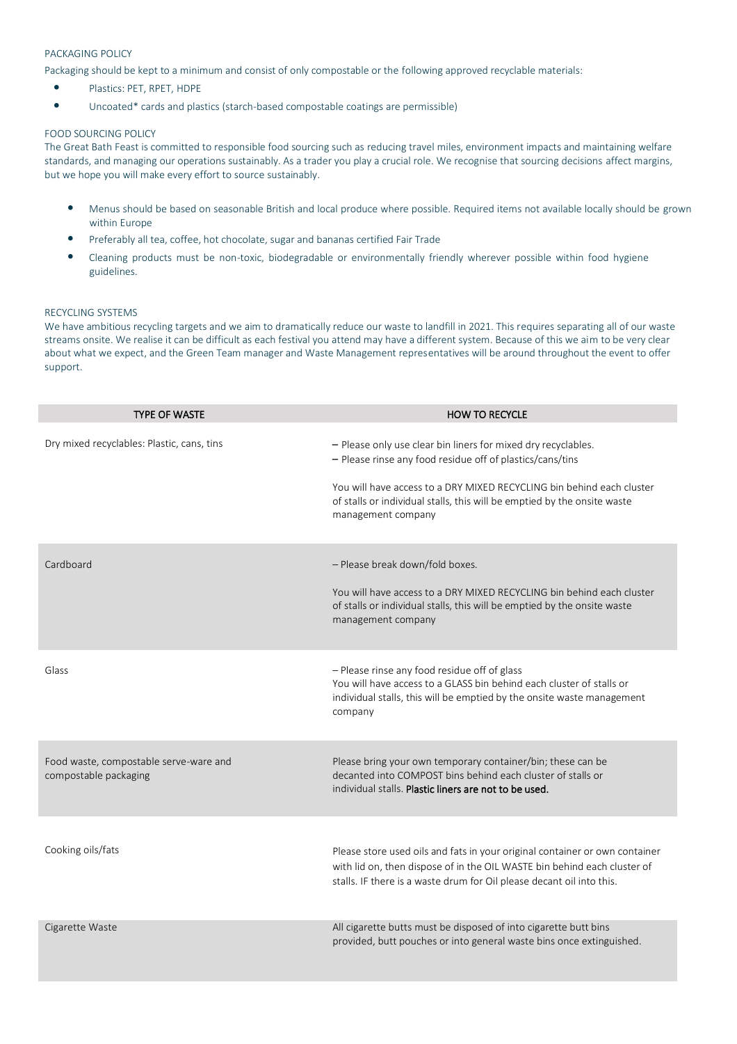# PACKAGING POLICY

Packaging should be kept to a minimum and consist of only compostable or the following approved recyclable materials:

- Plastics: PET, RPET, HDPE
- Uncoated\* cards and plastics (starch-based compostable coatings are permissible)

# FOOD SOURCING POLICY

The Great Bath Feast is committed to responsible food sourcing such as reducing travel miles, environment impacts and maintaining welfare standards, and managing our operations sustainably. As a trader you play a crucial role. We recognise that sourcing decisions affect margins, but we hope you will make every effort to source sustainably.

- Menus should be based on seasonable British and local produce where possible. Required items not available locally should be grown within Europe
- Preferably all tea, coffee, hot chocolate, sugar and bananas certified Fair Trade
- Cleaning products must be non-toxic, biodegradable or environmentally friendly wherever possible within food hygiene guidelines.

# RECYCLING SYSTEMS

We have ambitious recycling targets and we aim to dramatically reduce our waste to landfill in 2021. This requires separating all of our waste streams onsite. We realise it can be difficult as each festival you attend may have a different system. Because of this we aim to be very clear about what we expect, and the Green Team manager and Waste Management representatives will be around throughout the event to offer support.

| <b>TYPE OF WASTE</b>                                            | <b>HOW TO RECYCLE</b>                                                                                                                                                                                                                                                                                 |
|-----------------------------------------------------------------|-------------------------------------------------------------------------------------------------------------------------------------------------------------------------------------------------------------------------------------------------------------------------------------------------------|
| Dry mixed recyclables: Plastic, cans, tins                      | - Please only use clear bin liners for mixed dry recyclables.<br>- Please rinse any food residue off of plastics/cans/tins<br>You will have access to a DRY MIXED RECYCLING bin behind each cluster<br>of stalls or individual stalls, this will be emptied by the onsite waste<br>management company |
| Cardboard                                                       | - Please break down/fold boxes.<br>You will have access to a DRY MIXED RECYCLING bin behind each cluster<br>of stalls or individual stalls, this will be emptied by the onsite waste<br>management company                                                                                            |
| Glass                                                           | - Please rinse any food residue off of glass<br>You will have access to a GLASS bin behind each cluster of stalls or<br>individual stalls, this will be emptied by the onsite waste management<br>company                                                                                             |
| Food waste, compostable serve-ware and<br>compostable packaging | Please bring your own temporary container/bin; these can be<br>decanted into COMPOST bins behind each cluster of stalls or<br>individual stalls. Plastic liners are not to be used.                                                                                                                   |
| Cooking oils/fats                                               | Please store used oils and fats in your original container or own container<br>with lid on, then dispose of in the OIL WASTE bin behind each cluster of<br>stalls. IF there is a waste drum for Oil please decant oil into this.                                                                      |
| Cigarette Waste                                                 | All cigarette butts must be disposed of into cigarette butt bins<br>provided, butt pouches or into general waste bins once extinguished.                                                                                                                                                              |